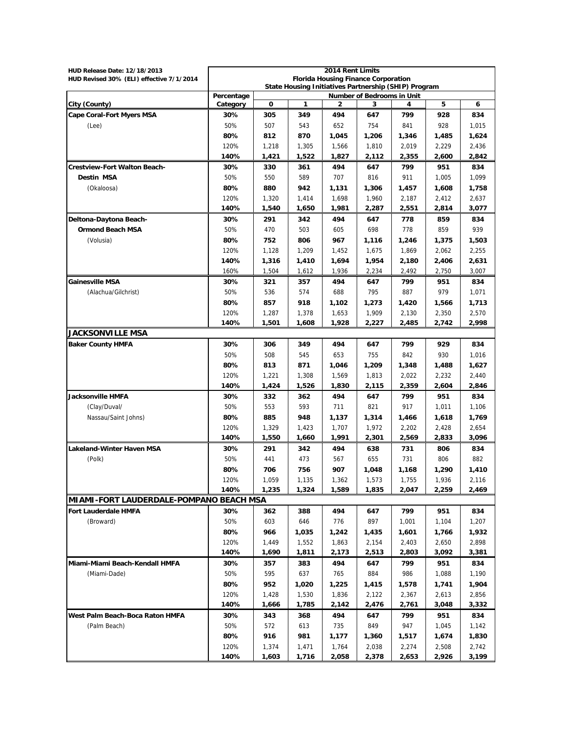| HUD Release Date: 12/18/2013             |                                                                                                  |                |                | 2014 Rent Limits                           |              |                |                |                |
|------------------------------------------|--------------------------------------------------------------------------------------------------|----------------|----------------|--------------------------------------------|--------------|----------------|----------------|----------------|
| HUD Revised 30% (ELI) effective 7/1/2014 |                                                                                                  |                |                | <b>Florida Housing Finance Corporation</b> |              |                |                |                |
|                                          | State Housing Initiatives Partnership (SHIP) Program<br>Percentage<br>Number of Bedrooms in Unit |                |                |                                            |              |                |                |                |
| City (County)                            | Category                                                                                         | O              | 1              | 2                                          | 3            |                | 5              | 6              |
| <b>Cape Coral-Fort Myers MSA</b>         | 30%                                                                                              | 305            | 349            | 494                                        | 647          | 799            | 928            | 834            |
| (Lee)                                    | 50%                                                                                              | 507            | 543            | 652                                        | 754          | 841            | 928            | 1,015          |
|                                          | 80%                                                                                              | 812            | 870            | 1,045                                      | 1,206        | 1,346          | 1,485          | 1,624          |
|                                          | 120%                                                                                             | 1,218          | 1,305          | 1,566                                      | 1,810        | 2,019          | 2,229          | 2,436          |
|                                          | 140%                                                                                             | 1,421          | 1,522          | 1,827                                      | 2,112        | 2,355          | 2,600          | 2,842          |
| <b>Crestview-Fort Walton Beach-</b>      | 30%                                                                                              | 330            | 361            | 494                                        | 647          | 799            | 951            | 834            |
| <b>Destin MSA</b>                        | 50%                                                                                              | 550            | 589            | 707                                        | 816          | 911            | 1,005          | 1,099          |
| (Okaloosa)                               | 80%                                                                                              | 880            | 942            | 1,131                                      | 1,306        | 1,457          | 1,608          | 1,758          |
|                                          | 120%                                                                                             | 1,320          | 1,414          | 1,698                                      | 1,960        | 2,187          | 2,412          | 2,637          |
|                                          | 140%                                                                                             | 1,540          | 1,650          | 1,981                                      | 2,287        | 2,551          | 2,814          | 3,077          |
| Deltona-Daytona Beach-                   | 30%                                                                                              | 291            | 342            | 494                                        | 647          | 778            | 859            | 834            |
| <b>Ormond Beach MSA</b>                  | 50%                                                                                              | 470            | 503            | 605                                        | 698          | 778            | 859            | 939            |
| (Volusia)                                | 80%                                                                                              | 752            | 806            | 967                                        | 1,116        | 1,246          | 1,375          | 1,503          |
|                                          | 120%                                                                                             | 1,128          | 1,209          | 1,452                                      | 1,675        | 1,869          | 2,062          | 2,255          |
|                                          | 140%                                                                                             | 1,316          | 1,410          | 1,694                                      | 1,954        | 2,180          | 2,406          | 2,631          |
|                                          | 160%                                                                                             | 1,504          | 1,612          | 1,936                                      | 2,234        | 2,492          | 2,750          | 3,007          |
| <b>Gainesville MSA</b>                   | 30%                                                                                              | 321            | 357            | 494                                        | 647          | 799            | 951            | 834            |
| (Alachua/Gilchrist)                      | 50%                                                                                              | 536            | 574            | 688                                        | 795          | 887            | 979            | 1,071          |
|                                          | 80%                                                                                              | 857            | 918            | 1,102                                      | 1,273        | 1,420          | 1,566          | 1,713          |
|                                          | 120%                                                                                             | 1,287          | 1,378          | 1,653                                      | 1,909        | 2,130          | 2,350          | 2,570          |
|                                          | 140%                                                                                             | 1,501          | 1,608          | 1,928                                      | 2,227        | 2,485          | 2,742          | 2,998          |
| <b>JACKSONVILLE MSA</b>                  |                                                                                                  |                |                |                                            |              |                |                |                |
| <b>Baker County HMFA</b>                 | 30%                                                                                              | 306            | 349            | 494                                        | 647          | 799            | 929            | 834            |
|                                          | 50%                                                                                              | 508            | 545            | 653                                        | 755          | 842            | 930            | 1,016          |
|                                          | 80%                                                                                              | 813            | 871            | 1,046                                      | 1,209        | 1,348          | 1,488          | 1,627          |
|                                          | 120%<br>140%                                                                                     | 1,221<br>1,424 | 1,308<br>1,526 | 1,569<br>1,830                             | 1,813        | 2,022<br>2,359 | 2,232<br>2,604 | 2,440<br>2,846 |
| Jacksonville HMFA                        | 30%                                                                                              | 332            | 362            | 494                                        | 2,115<br>647 | 799            | 951            | 834            |
| (Clay/Duval/                             | 50%                                                                                              | 553            | 593            | 711                                        | 821          | 917            | 1,011          | 1,106          |
| Nassau/Saint Johns)                      | 80%                                                                                              | 885            | 948            | 1,137                                      | 1,314        | 1,466          | 1,618          | 1,769          |
|                                          | 120%                                                                                             | 1,329          | 1,423          | 1,707                                      | 1,972        | 2,202          | 2,428          | 2,654          |
|                                          | 140%                                                                                             | 1,550          | 1,660          | 1,991                                      | 2,301        | 2,569          | 2,833          | 3,096          |
| <b>Lakeland-Winter Haven MSA</b>         | 30%                                                                                              | 291            | 342            | 494                                        | 638          | 731            | 806            | 834            |
| (Polk)                                   | 50%                                                                                              | 441            | 473            | 567                                        | 655          | 731            | 806            | 882            |
|                                          | 80%                                                                                              | 706            | 756            | 907                                        | 1,048        | 1,168          | 1,290          | 1,410          |
|                                          | 120%                                                                                             | 1,059          | 1,135          | 1,362                                      | 1,573        | 1,755          | 1,936          | 2,116          |
|                                          | 140%                                                                                             | 1,235          | 1,324          | 1,589                                      | 1,835        | 2,047          | 2,259          | 2,469          |
| MIAMI-FORT LAUDERDALE-POMPANO BEACH MSA  |                                                                                                  |                |                |                                            |              |                |                |                |
| <b>Fort Lauderdale HMFA</b>              | 30%                                                                                              | 362            | 388            | 494                                        | 647          | 799            | 951            | 834            |
| (Broward)                                | 50%                                                                                              | 603            | 646            | 776                                        | 897          | 1,001          | 1,104          | 1,207          |
|                                          | 80%                                                                                              | 966            | 1,035          | 1,242                                      | 1,435        | 1,601          | 1,766          | 1,932          |
|                                          | 120%                                                                                             | 1,449          | 1,552          | 1,863                                      | 2,154        | 2,403          | 2,650          | 2,898          |
|                                          | 140%                                                                                             | 1,690          | 1,811          | 2,173                                      | 2,513        | 2,803          | 3,092          | 3,381          |
| Miami-Miami Beach-Kendall HMFA           | 30%                                                                                              | 357            | 383            | 494                                        | 647          | 799            | 951            | 834            |
| (Miami-Dade)                             | 50%                                                                                              | 595            | 637            | 765                                        | 884          | 986            | 1,088          | 1,190          |
|                                          | 80%                                                                                              | 952            | 1,020          | 1,225                                      | 1,415        | 1,578          | 1,741          | 1,904          |
|                                          | 120%                                                                                             | 1,428          | 1,530          | 1,836                                      | 2,122        | 2,367          | 2,613          | 2,856          |
|                                          | 140%                                                                                             | 1,666          | 1,785          | 2,142                                      | 2,476        | 2,761          | 3,048          | 3,332          |
| West Palm Beach-Boca Raton HMFA          | 30%                                                                                              | 343            | 368            | 494                                        | 647          | 799            | 951            | 834            |
| (Palm Beach)                             | 50%                                                                                              | 572            | 613            | 735                                        | 849          | 947            | 1,045          | 1,142          |
|                                          | 80%                                                                                              | 916            | 981            | 1,177                                      | 1,360        | 1,517          | 1,674          | 1,830          |
|                                          | 120%                                                                                             | 1,374          | 1,471          | 1,764                                      | 2,038        | 2,274          | 2,508          | 2,742          |
|                                          | 140%                                                                                             | 1,603          | 1,716          | 2,058                                      | 2,378        | 2,653          | 2,926          | 3,199          |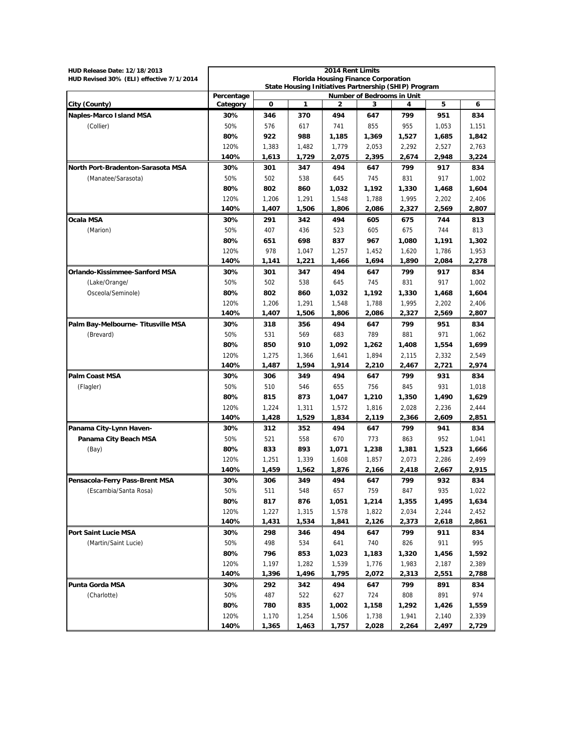| <b>HUD Release Date: 12/18/2013</b>      |                                                                                    |             |       | 2014 Rent Limits |       |       |       |       |  |  |
|------------------------------------------|------------------------------------------------------------------------------------|-------------|-------|------------------|-------|-------|-------|-------|--|--|
| HUD Revised 30% (ELI) effective 7/1/2014 | <b>Florida Housing Finance Corporation</b>                                         |             |       |                  |       |       |       |       |  |  |
|                                          | State Housing Initiatives Partnership (SHIP) Program<br>Number of Bedrooms in Unit |             |       |                  |       |       |       |       |  |  |
| City (County)                            | Percentage<br>Category                                                             | $\mathbf 0$ | 1     | 2                | 3     |       | 5     | 6     |  |  |
| <b>Naples-Marco Island MSA</b>           | 30%                                                                                | 346         | 370   | 494              | 647   | 799   | 951   | 834   |  |  |
| (Collier)                                | 50%                                                                                | 576         | 617   | 741              | 855   | 955   | 1,053 | 1,151 |  |  |
|                                          | 80%                                                                                | 922         | 988   | 1,185            | 1,369 | 1,527 | 1,685 | 1,842 |  |  |
|                                          | 120%                                                                               | 1,383       | 1,482 | 1,779            | 2,053 | 2,292 | 2,527 | 2,763 |  |  |
|                                          | 140%                                                                               | 1,613       | 1,729 | 2,075            | 2,395 | 2,674 | 2.948 | 3,224 |  |  |
| North Port-Bradenton-Sarasota MSA        | 30%                                                                                | 301         | 347   | 494              | 647   | 799   | 917   | 834   |  |  |
| (Manatee/Sarasota)                       | 50%                                                                                | 502         | 538   | 645              | 745   | 831   | 917   | 1,002 |  |  |
|                                          | 80%                                                                                | 802         | 860   | 1,032            | 1,192 | 1,330 | 1,468 | 1,604 |  |  |
|                                          | 120%                                                                               | 1,206       | 1,291 | 1,548            | 1,788 | 1,995 | 2,202 | 2,406 |  |  |
|                                          | 140%                                                                               | 1,407       | 1,506 | 1,806            | 2,086 | 2,327 | 2,569 | 2,807 |  |  |
| <b>Ocala MSA</b>                         | 30%                                                                                | 291         | 342   | 494              | 605   | 675   | 744   | 813   |  |  |
| (Marion)                                 | 50%                                                                                | 407         | 436   | 523              | 605   | 675   | 744   | 813   |  |  |
|                                          | 80%                                                                                | 651         | 698   | 837              | 967   | 1,080 | 1,191 | 1,302 |  |  |
|                                          | 120%                                                                               | 978         | 1,047 | 1,257            | 1,452 | 1,620 | 1.786 | 1,953 |  |  |
|                                          | 140%                                                                               | 1,141       | 1,221 | 1,466            | 1,694 | 1,890 | 2,084 | 2,278 |  |  |
| Orlando-Kissimmee-Sanford MSA            | 30%                                                                                | 301         | 347   | 494              | 647   | 799   | 917   | 834   |  |  |
| (Lake/Orange/                            | 50%                                                                                | 502         | 538   | 645              | 745   | 831   | 917   | 1,002 |  |  |
| Osceola/Seminole)                        | 80%                                                                                | 802         | 860   | 1,032            | 1,192 | 1,330 | 1,468 | 1,604 |  |  |
|                                          | 120%                                                                               | 1,206       | 1,291 | 1,548            | 1,788 | 1,995 | 2,202 | 2,406 |  |  |
|                                          | 140%                                                                               | 1,407       | 1,506 | 1,806            | 2,086 | 2,327 | 2,569 | 2,807 |  |  |
| Palm Bay-Melbourne- Titusville MSA       | 30%                                                                                | 318         | 356   | 494              | 647   | 799   | 951   | 834   |  |  |
| (Brevard)                                | 50%                                                                                | 531         | 569   | 683              | 789   | 881   | 971   | 1,062 |  |  |
|                                          | 80%                                                                                | 850         | 910   | 1,092            | 1,262 | 1,408 | 1,554 | 1,699 |  |  |
|                                          | 120%                                                                               | 1,275       | 1,366 | 1,641            | 1,894 | 2,115 | 2,332 | 2,549 |  |  |
|                                          | 140%                                                                               | 1,487       | 1,594 | 1,914            | 2,210 | 2,467 | 2,721 | 2,974 |  |  |
| <b>Palm Coast MSA</b>                    | 30%                                                                                | 306         | 349   | 494              | 647   | 799   | 931   | 834   |  |  |
| (Flagler)                                | 50%                                                                                | 510         | 546   | 655              | 756   | 845   | 931   | 1,018 |  |  |
|                                          | 80%                                                                                | 815         | 873   | 1,047            | 1,210 | 1,350 | 1,490 | 1,629 |  |  |
|                                          | 120%                                                                               | 1,224       | 1,311 | 1,572            | 1,816 | 2,028 | 2,236 | 2,444 |  |  |
|                                          | 140%                                                                               | 1,428       | 1,529 | 1,834            | 2,119 | 2,366 | 2,609 | 2,851 |  |  |
| Panama City-Lynn Haven-                  | 30%                                                                                | 312         | 352   | 494              | 647   | 799   | 941   | 834   |  |  |
| Panama City Beach MSA                    | 50%                                                                                | 521         | 558   | 670              | 773   | 863   | 952   | 1,041 |  |  |
| (Bay)                                    | 80%                                                                                | 833         | 893   | 1,071            | 1,238 | 1,381 | 1,523 | 1,666 |  |  |
|                                          | 120%                                                                               | 1,251       | 1,339 | 1,608            | 1,857 | 2,073 | 2,286 | 2,499 |  |  |
|                                          | 140%                                                                               | 1,459       | 1,562 | 1,876            | 2,166 | 2,418 | 2,667 | 2,915 |  |  |
| Pensacola-Ferry Pass-Brent MSA           | 30%                                                                                | 306         | 349   | 494              | 647   | 799   | 932   | 834   |  |  |
| (Escambia/Santa Rosa)                    | 50%                                                                                | 511         | 548   | 657              | 759   | 847   | 935   | 1,022 |  |  |
|                                          | 80%                                                                                | 817         | 876   | 1,051            | 1,214 | 1,355 | 1,495 | 1,634 |  |  |
|                                          | 120%                                                                               | 1,227       | 1,315 | 1,578            | 1,822 | 2,034 | 2,244 | 2,452 |  |  |
|                                          | 140%                                                                               | 1,431       | 1,534 | 1,841            | 2,126 | 2,373 | 2,618 | 2,861 |  |  |
| Port Saint Lucie MSA                     | 30%                                                                                | 298         | 346   | 494              | 647   | 799   | 911   | 834   |  |  |
| (Martin/Saint Lucie)                     | 50%                                                                                | 498         | 534   | 641              | 740   | 826   | 911   | 995   |  |  |
|                                          | 80%                                                                                | 796         | 853   | 1,023            | 1,183 | 1,320 | 1,456 | 1,592 |  |  |
|                                          | 120%                                                                               | 1,197       | 1,282 | 1,539            | 1,776 | 1,983 | 2,187 | 2,389 |  |  |
|                                          | 140%                                                                               | 1,396       | 1,496 | 1,795            | 2,072 | 2,313 | 2,551 | 2,788 |  |  |
| Punta Gorda MSA                          | 30%                                                                                | 292         | 342   | 494              | 647   | 799   | 891   | 834   |  |  |
| (Charlotte)                              | 50%                                                                                | 487         | 522   | 627              | 724   | 808   | 891   | 974   |  |  |
|                                          | 80%                                                                                | 780         | 835   | 1,002            | 1,158 | 1,292 | 1,426 | 1,559 |  |  |
|                                          | 120%                                                                               | 1,170       | 1,254 | 1,506            | 1,738 | 1,941 | 2,140 | 2,339 |  |  |
|                                          | 140%                                                                               | 1,365       | 1,463 | 1,757            | 2,028 | 2,264 | 2,497 | 2,729 |  |  |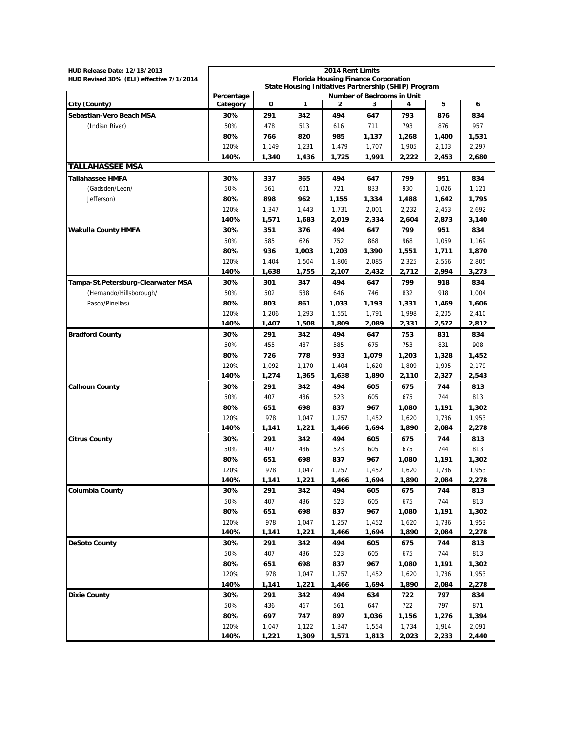| HUD Release Date: 12/18/2013             |                                                                                    |       |       | 2014 Rent Limits                           |       |       |       |       |
|------------------------------------------|------------------------------------------------------------------------------------|-------|-------|--------------------------------------------|-------|-------|-------|-------|
| HUD Revised 30% (ELI) effective 7/1/2014 |                                                                                    |       |       | <b>Florida Housing Finance Corporation</b> |       |       |       |       |
|                                          | State Housing Initiatives Partnership (SHIP) Program<br>Number of Bedrooms in Unit |       |       |                                            |       |       |       |       |
|                                          | Percentage                                                                         |       |       |                                            |       |       |       |       |
| City (County)                            | Category                                                                           | 0     | 1     | 2                                          | 3     | 4     | 5     | 6     |
| Sebastian-Vero Beach MSA                 | 30%                                                                                | 291   | 342   | 494                                        | 647   | 793   | 876   | 834   |
| (Indian River)                           | 50%                                                                                | 478   | 513   | 616                                        | 711   | 793   | 876   | 957   |
|                                          | 80%                                                                                | 766   | 820   | 985                                        | 1,137 | 1,268 | 1,400 | 1,531 |
|                                          | 120%                                                                               | 1,149 | 1,231 | 1,479                                      | 1,707 | 1,905 | 2,103 | 2,297 |
|                                          | 140%                                                                               | 1,340 | 1,436 | 1,725                                      | 1,991 | 2,222 | 2,453 | 2,680 |
| <b>TALLAHASSEE MSA</b>                   |                                                                                    |       |       |                                            |       |       |       |       |
| Tallahassee HMFA                         | 30%                                                                                | 337   | 365   | 494                                        | 647   | 799   | 951   | 834   |
| (Gadsden/Leon/                           | 50%                                                                                | 561   | 601   | 721                                        | 833   | 930   | 1,026 | 1,121 |
| Jefferson)                               | 80%                                                                                | 898   | 962   | 1,155                                      | 1,334 | 1,488 | 1,642 | 1,795 |
|                                          | 120%                                                                               | 1,347 | 1,443 | 1,731                                      | 2,001 | 2,232 | 2,463 | 2,692 |
|                                          | 140%                                                                               | 1,571 | 1,683 | 2,019                                      | 2,334 | 2,604 | 2,873 | 3,140 |
| <b>Wakulla County HMFA</b>               | 30%                                                                                | 351   | 376   | 494                                        | 647   | 799   | 951   | 834   |
|                                          | 50%                                                                                | 585   | 626   | 752                                        | 868   | 968   | 1,069 | 1,169 |
|                                          | 80%                                                                                | 936   | 1,003 | 1,203                                      | 1,390 | 1,551 | 1,711 | 1,870 |
|                                          | 120%                                                                               | 1,404 | 1,504 | 1.806                                      | 2,085 | 2,325 | 2,566 | 2,805 |
|                                          | 140%                                                                               | 1,638 | 1,755 | 2,107                                      | 2,432 | 2,712 | 2,994 | 3,273 |
| Tampa-St.Petersburg-Clearwater MSA       | 30%                                                                                | 301   | 347   | 494                                        | 647   | 799   | 918   | 834   |
| (Hernando/Hillsborough/                  | 50%                                                                                | 502   | 538   | 646                                        | 746   | 832   | 918   | 1,004 |
| Pasco/Pinellas)                          | 80%                                                                                | 803   | 861   | 1,033                                      | 1,193 | 1,331 | 1,469 | 1,606 |
|                                          | 120%                                                                               | 1,206 | 1,293 | 1,551                                      | 1.791 | 1,998 | 2,205 | 2,410 |
|                                          | 140%                                                                               | 1,407 | 1,508 | 1,809                                      | 2,089 | 2,331 | 2,572 | 2,812 |
| <b>Bradford County</b>                   | 30%                                                                                | 291   | 342   | 494                                        | 647   | 753   | 831   | 834   |
|                                          | 50%                                                                                | 455   | 487   | 585                                        | 675   | 753   | 831   | 908   |
|                                          | 80%                                                                                | 726   | 778   | 933                                        | 1,079 | 1,203 | 1,328 | 1,452 |
|                                          | 120%                                                                               | 1,092 | 1,170 | 1,404                                      | 1,620 | 1,809 | 1,995 | 2,179 |
|                                          | 140%                                                                               | 1,274 | 1,365 | 1,638                                      | 1,890 | 2,110 | 2,327 | 2,543 |
| <b>Calhoun County</b>                    | 30%                                                                                | 291   | 342   | 494                                        | 605   | 675   | 744   | 813   |
|                                          | 50%                                                                                | 407   | 436   | 523                                        | 605   | 675   | 744   | 813   |
|                                          | 80%                                                                                | 651   | 698   | 837                                        | 967   | 1,080 | 1,191 | 1,302 |
|                                          | 120%                                                                               | 978   | 1,047 | 1,257                                      | 1,452 | 1,620 | 1,786 | 1,953 |
|                                          | 140%                                                                               | 1,141 | 1,221 | 1,466                                      | 1,694 | 1,890 | 2,084 | 2,278 |
| <b>Citrus County</b>                     | 30%                                                                                | 291   | 342   | 494                                        | 605   | 675   | 744   | 813   |
|                                          | 50%                                                                                | 407   | 436   | 523                                        | 605   | 675   | 744   | 813   |
|                                          | 80%                                                                                | 651   | 698   | 837                                        | 967   | 1,080 | 1,191 | 1,302 |
|                                          | 120%                                                                               | 978   | 1,047 | 1,257                                      | 1,452 | 1,620 | 1,786 | 1,953 |
|                                          | 140%                                                                               | 1,141 | 1,221 | 1,466                                      | 1,694 | 1,890 | 2,084 | 2,278 |
| <b>Columbia County</b>                   | 30%                                                                                | 291   | 342   | 494                                        | 605   | 675   | 744   | 813   |
|                                          | 50%                                                                                | 407   | 436   | 523                                        | 605   | 675   | 744   | 813   |
|                                          | 80%                                                                                | 651   | 698   | 837                                        | 967   | 1,080 | 1,191 | 1,302 |
|                                          | 120%                                                                               | 978   | 1,047 | 1,257                                      | 1,452 | 1,620 | 1,786 | 1,953 |
|                                          | 140%                                                                               | 1,141 | 1,221 | 1,466                                      | 1,694 | 1,890 | 2,084 | 2,278 |
| <b>DeSoto County</b>                     |                                                                                    |       |       |                                            |       |       |       |       |
|                                          | 30%                                                                                | 291   | 342   | 494                                        | 605   | 675   | 744   | 813   |
|                                          | 50%                                                                                | 407   | 436   | 523                                        | 605   | 675   | 744   | 813   |
|                                          | 80%                                                                                | 651   | 698   | 837                                        | 967   | 1,080 | 1,191 | 1,302 |
|                                          | 120%                                                                               | 978   | 1,047 | 1,257                                      | 1,452 | 1,620 | 1,786 | 1,953 |
|                                          | 140%                                                                               | 1,141 | 1,221 | 1,466                                      | 1,694 | 1,890 | 2,084 | 2,278 |
| <b>Dixie County</b>                      | 30%                                                                                | 291   | 342   | 494                                        | 634   | 722   | 797   | 834   |
|                                          | 50%                                                                                | 436   | 467   | 561                                        | 647   | 722   | 797   | 871   |
|                                          | 80%                                                                                | 697   | 747   | 897                                        | 1,036 | 1,156 | 1,276 | 1,394 |
|                                          | 120%                                                                               | 1,047 | 1,122 | 1,347                                      | 1,554 | 1,734 | 1,914 | 2,091 |
|                                          | 140%                                                                               | 1,221 | 1,309 | 1,571                                      | 1,813 | 2,023 | 2,233 | 2,440 |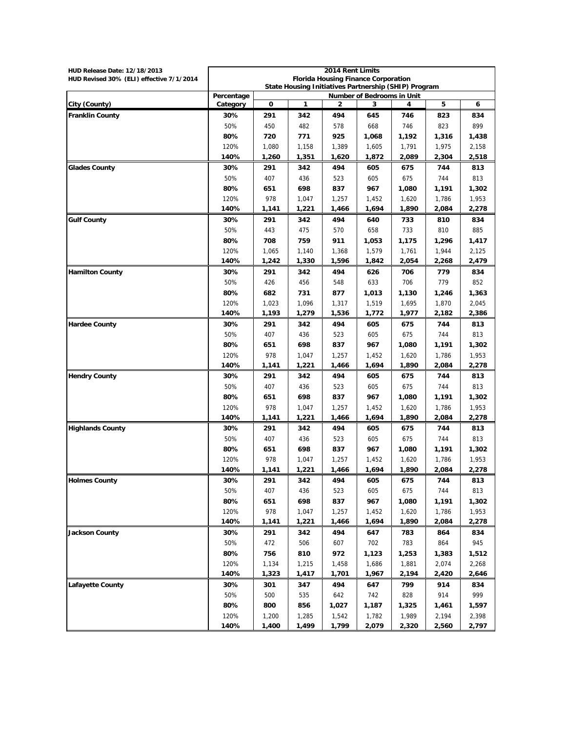| HUD Release Date: 12/18/2013             | 2014 Rent Limits                                                                          |       |              |                                            |       |       |       |       |
|------------------------------------------|-------------------------------------------------------------------------------------------|-------|--------------|--------------------------------------------|-------|-------|-------|-------|
| HUD Revised 30% (ELI) effective 7/1/2014 |                                                                                           |       |              | <b>Florida Housing Finance Corporation</b> |       |       |       |       |
|                                          | State Housing Initiatives Partnership (SHIP) Program<br><b>Number of Bedrooms in Unit</b> |       |              |                                            |       |       |       |       |
| City (County)                            | Percentage<br>Category                                                                    | 0     | $\mathbf{1}$ | 2                                          | 3     | 4     | 5     | 6     |
| <b>Franklin County</b>                   | 30%                                                                                       | 291   | 342          | 494                                        | 645   | 746   | 823   | 834   |
|                                          | 50%                                                                                       | 450   | 482          | 578                                        | 668   | 746   | 823   | 899   |
|                                          | 80%                                                                                       | 720   | 771          | 925                                        | 1,068 | 1,192 | 1,316 | 1,438 |
|                                          | 120%                                                                                      | 1,080 | 1,158        | 1,389                                      | 1,605 | 1,791 | 1,975 | 2,158 |
|                                          | 140%                                                                                      | 1,260 | 1,351        | 1,620                                      | 1,872 | 2,089 | 2,304 | 2,518 |
| <b>Glades County</b>                     | 30%                                                                                       | 291   | 342          | 494                                        | 605   | 675   | 744   | 813   |
|                                          | 50%                                                                                       | 407   | 436          | 523                                        | 605   | 675   | 744   | 813   |
|                                          | 80%                                                                                       | 651   | 698          | 837                                        | 967   | 1,080 | 1,191 | 1,302 |
|                                          | 120%                                                                                      | 978   | 1,047        | 1,257                                      | 1,452 | 1,620 | 1,786 | 1,953 |
|                                          | 140%                                                                                      | 1,141 | 1,221        | 1,466                                      | 1,694 | 1,890 | 2,084 | 2,278 |
| <b>Gulf County</b>                       | 30%                                                                                       | 291   | 342          | 494                                        | 640   | 733   | 810   | 834   |
|                                          | 50%                                                                                       | 443   | 475          | 570                                        | 658   | 733   | 810   | 885   |
|                                          | 80%                                                                                       | 708   | 759          | 911                                        | 1,053 | 1,175 | 1,296 | 1,417 |
|                                          | 120%                                                                                      | 1,065 | 1,140        | 1,368                                      | 1,579 | 1,761 | 1,944 | 2,125 |
|                                          | 140%                                                                                      | 1,242 | 1,330        | 1,596                                      | 1,842 | 2,054 | 2,268 | 2,479 |
| <b>Hamilton County</b>                   | 30%                                                                                       | 291   | 342          | 494                                        | 626   | 706   | 779   | 834   |
|                                          | 50%                                                                                       | 426   | 456          | 548                                        | 633   | 706   | 779   | 852   |
|                                          | 80%                                                                                       | 682   | 731          | 877                                        | 1,013 | 1,130 | 1,246 | 1,363 |
|                                          | 120%                                                                                      | 1,023 | 1,096        | 1,317                                      | 1,519 | 1,695 | 1,870 | 2,045 |
|                                          | 140%                                                                                      | 1,193 | 1,279        | 1,536                                      | 1,772 | 1,977 | 2,182 | 2,386 |
| <b>Hardee County</b>                     | 30%                                                                                       | 291   | 342          | 494                                        | 605   | 675   | 744   | 813   |
|                                          | 50%                                                                                       | 407   | 436          | 523                                        | 605   | 675   | 744   | 813   |
|                                          | 80%                                                                                       | 651   | 698          | 837                                        | 967   | 1,080 | 1,191 | 1,302 |
|                                          | 120%                                                                                      | 978   | 1,047        | 1,257                                      | 1,452 | 1,620 | 1,786 | 1,953 |
|                                          | 140%                                                                                      | 1,141 | 1,221        | 1,466                                      | 1,694 | 1,890 | 2,084 | 2,278 |
| <b>Hendry County</b>                     | 30%                                                                                       | 291   | 342          | 494                                        | 605   | 675   | 744   | 813   |
|                                          | 50%                                                                                       | 407   | 436          | 523                                        | 605   | 675   | 744   | 813   |
|                                          | 80%                                                                                       | 651   | 698          | 837                                        | 967   | 1,080 | 1,191 | 1,302 |
|                                          | 120%                                                                                      | 978   | 1,047        | 1,257                                      | 1,452 | 1,620 | 1,786 | 1,953 |
|                                          | 140%                                                                                      | 1,141 | 1,221        | 1,466                                      | 1,694 | 1,890 | 2,084 | 2,278 |
| <b>Highlands County</b>                  | 30%                                                                                       | 291   | 342          | 494                                        | 605   | 675   | 744   | 813   |
|                                          | 50%                                                                                       | 407   | 436          | 523                                        | 605   | 675   | 744   | 813   |
|                                          | 80%                                                                                       | 651   | 698          | 837                                        | 967   | 1,080 | 1,191 | 1,302 |
|                                          | 120%                                                                                      | 978   | 1,047        | 1,257                                      | 1,452 | 1,620 | 1,786 | 1,953 |
|                                          | 140%                                                                                      | 1,141 | 1,221        | 1,466                                      | 1,694 | 1,890 | 2,084 | 2,278 |
| <b>Holmes County</b>                     | 30%                                                                                       | 291   | 342          | 494                                        | 605   | 675   | 744   | 813   |
|                                          | 50%                                                                                       | 407   | 436          | 523                                        | 605   | 675   | 744   | 813   |
|                                          | 80%                                                                                       | 651   | 698          | 837                                        | 967   | 1,080 | 1,191 | 1,302 |
|                                          | 120%                                                                                      | 978   | 1,047        | 1,257                                      | 1,452 | 1,620 | 1,786 | 1,953 |
|                                          | 140%                                                                                      | 1,141 | 1,221        | 1,466                                      | 1,694 | 1,890 | 2,084 | 2,278 |
| <b>Jackson County</b>                    | 30%                                                                                       | 291   | 342          | 494                                        | 647   | 783   | 864   | 834   |
|                                          | 50%                                                                                       | 472   | 506          | 607                                        | 702   | 783   | 864   | 945   |
|                                          | 80%                                                                                       | 756   | 810          | 972                                        | 1,123 | 1,253 | 1,383 | 1,512 |
|                                          | 120%                                                                                      | 1,134 | 1,215        | 1,458                                      | 1,686 | 1,881 | 2,074 | 2,268 |
|                                          | 140%                                                                                      | 1,323 | 1,417        | 1,701                                      | 1,967 | 2,194 | 2,420 | 2,646 |
| <b>Lafayette County</b>                  | 30%                                                                                       | 301   | 347          | 494                                        | 647   | 799   | 914   | 834   |
|                                          | 50%                                                                                       | 500   | 535          | 642                                        | 742   | 828   | 914   | 999   |
|                                          | 80%                                                                                       | 800   | 856          | 1,027                                      | 1,187 | 1,325 | 1,461 | 1,597 |
|                                          | 120%                                                                                      | 1,200 | 1,285        | 1,542                                      | 1,782 | 1,989 | 2,194 | 2,398 |
|                                          | 140%                                                                                      | 1,400 | 1,499        | 1,799                                      | 2,079 | 2,320 | 2,560 | 2,797 |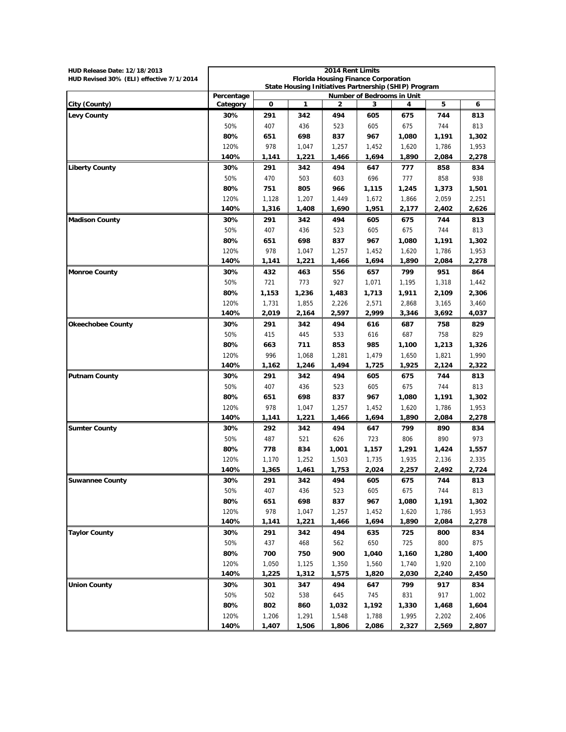| HUD Release Date: 12/18/2013             | 2014 Rent Limits                                                                                 |       |              |                                            |                |                |                |                |
|------------------------------------------|--------------------------------------------------------------------------------------------------|-------|--------------|--------------------------------------------|----------------|----------------|----------------|----------------|
| HUD Revised 30% (ELI) effective 7/1/2014 |                                                                                                  |       |              | <b>Florida Housing Finance Corporation</b> |                |                |                |                |
|                                          | State Housing Initiatives Partnership (SHIP) Program<br>Percentage<br>Number of Bedrooms in Unit |       |              |                                            |                |                |                |                |
| City (County)                            | Category                                                                                         | 0     | $\mathbf{1}$ | 2                                          | 3              | 4              | 5              | 6              |
| <b>Levy County</b>                       | 30%                                                                                              | 291   | 342          | 494                                        | 605            | 675            | 744            | 813            |
|                                          | 50%                                                                                              | 407   | 436          | 523                                        | 605            | 675            | 744            | 813            |
|                                          | 80%                                                                                              | 651   | 698          | 837                                        | 967            | 1,080          | 1,191          | 1,302          |
|                                          | 120%                                                                                             | 978   | 1,047        |                                            |                |                |                |                |
|                                          | 140%                                                                                             | 1,141 | 1,221        | 1,257<br>1,466                             | 1,452<br>1,694 | 1,620<br>1,890 | 1,786<br>2.084 | 1,953<br>2,278 |
| <b>Liberty County</b>                    | 30%                                                                                              | 291   | 342          | 494                                        | 647            | 777            | 858            | 834            |
|                                          | 50%                                                                                              | 470   | 503          | 603                                        | 696            | 777            | 858            | 938            |
|                                          | 80%                                                                                              | 751   | 805          | 966                                        | 1,115          | 1,245          | 1,373          | 1,501          |
|                                          | 120%                                                                                             | 1,128 | 1,207        | 1,449                                      | 1,672          | 1,866          | 2,059          | 2,251          |
|                                          | 140%                                                                                             | 1,316 | 1,408        | 1,690                                      | 1,951          | 2,177          | 2,402          | 2,626          |
| <b>Madison County</b>                    | 30%                                                                                              | 291   | 342          | 494                                        | 605            | 675            | 744            | 813            |
|                                          | 50%                                                                                              | 407   | 436          | 523                                        | 605            | 675            | 744            | 813            |
|                                          | 80%                                                                                              | 651   | 698          | 837                                        | 967            | 1,080          | 1,191          | 1,302          |
|                                          | 120%                                                                                             | 978   | 1,047        | 1,257                                      | 1,452          | 1,620          | 1,786          | 1,953          |
|                                          | 140%                                                                                             | 1,141 | 1,221        | 1,466                                      | 1,694          | 1,890          | 2,084          | 2,278          |
| <b>Monroe County</b>                     | 30%                                                                                              | 432   | 463          | 556                                        | 657            | 799            | 951            | 864            |
|                                          | 50%                                                                                              | 721   | 773          | 927                                        | 1,071          | 1,195          | 1,318          | 1,442          |
|                                          | 80%                                                                                              | 1,153 | 1,236        | 1,483                                      | 1,713          | 1,911          | 2,109          | 2,306          |
|                                          | 120%                                                                                             | 1,731 | 1,855        | 2,226                                      | 2,571          | 2,868          | 3,165          | 3,460          |
|                                          | 140%                                                                                             | 2,019 | 2,164        | 2,597                                      | 2,999          | 3,346          | 3,692          | 4,037          |
| <b>Okeechobee County</b>                 | 30%                                                                                              | 291   | 342          | 494                                        | 616            | 687            | 758            | 829            |
|                                          | 50%                                                                                              | 415   | 445          | 533                                        | 616            | 687            | 758            | 829            |
|                                          | 80%                                                                                              | 663   | 711          | 853                                        | 985            | 1,100          | 1,213          | 1,326          |
|                                          | 120%                                                                                             | 996   | 1,068        | 1,281                                      | 1,479          | 1,650          | 1,821          | 1,990          |
|                                          | 140%                                                                                             | 1,162 | 1,246        | 1,494                                      | 1,725          | 1,925          | 2,124          | 2,322          |
| <b>Putnam County</b>                     | 30%                                                                                              | 291   | 342          | 494                                        | 605            | 675            | 744            | 813            |
|                                          | 50%                                                                                              | 407   | 436          | 523                                        | 605            | 675            | 744            | 813            |
|                                          | 80%                                                                                              | 651   | 698          | 837                                        | 967            | 1,080          | 1,191          | 1,302          |
|                                          | 120%                                                                                             | 978   | 1,047        | 1,257                                      | 1,452          | 1,620          | 1,786          | 1,953          |
|                                          | 140%                                                                                             | 1,141 | 1,221        | 1,466                                      | 1,694          | 1,890          | 2,084          | 2,278          |
| <b>Sumter County</b>                     | 30%                                                                                              | 292   | 342          | 494                                        | 647            | 799            | 890            | 834            |
|                                          | 50%                                                                                              | 487   | 521          | 626                                        | 723            | 806            | 890            | 973            |
|                                          | 80%                                                                                              | 778   | 834          | 1,001                                      | 1,157          | 1,291          | 1,424          | 1,557          |
|                                          | 120%                                                                                             | 1,170 | 1,252        | 1,503                                      | 1,735          | 1,935          | 2,136          | 2,335          |
|                                          | 140%                                                                                             | 1,365 | 1,461        | 1,753                                      | 2,024          | 2,257          | 2,492          | 2,724          |
| <b>Suwannee County</b>                   | 30%                                                                                              | 291   | 342          | 494                                        | 605            | 675            | 744            | 813            |
|                                          | 50%                                                                                              | 407   | 436          | 523                                        | 605            | 675            | 744            | 813            |
|                                          | 80%                                                                                              | 651   | 698          | 837                                        | 967            | 1,080          | 1,191          | 1,302          |
|                                          | 120%                                                                                             | 978   | 1,047        | 1,257                                      | 1,452          | 1,620          | 1,786          | 1,953          |
|                                          | 140%                                                                                             | 1,141 | 1,221        | 1,466                                      | 1,694          | 1,890          | 2,084          | 2,278          |
| <b>Taylor County</b>                     | 30%                                                                                              | 291   | 342          | 494                                        | 635            | 725            | 800            | 834            |
|                                          | 50%                                                                                              | 437   | 468          | 562                                        | 650            | 725            | 800            | 875            |
|                                          | 80%                                                                                              | 700   | 750          | 900                                        | 1,040          | 1,160          | 1,280          | 1,400          |
|                                          | 120%                                                                                             | 1,050 | 1,125        | 1,350                                      | 1,560          | 1,740          | 1,920          | 2,100          |
|                                          | 140%                                                                                             | 1,225 | 1,312        | 1,575                                      | 1,820          | 2,030          | 2,240          | 2,450          |
| <b>Union County</b>                      | 30%                                                                                              | 301   | 347          | 494                                        | 647            | 799            | 917            | 834            |
|                                          | 50%                                                                                              | 502   | 538          | 645                                        | 745            | 831            | 917            | 1,002          |
|                                          | 80%                                                                                              | 802   | 860          | 1,032                                      | 1,192          | 1,330          | 1,468          | 1,604          |
|                                          | 120%                                                                                             | 1,206 | 1,291        | 1,548                                      | 1,788          | 1,995          | 2,202          | 2,406          |
|                                          | 140%                                                                                             | 1,407 | 1,506        | 1,806                                      | 2,086          | 2,327          | 2,569          | 2,807          |